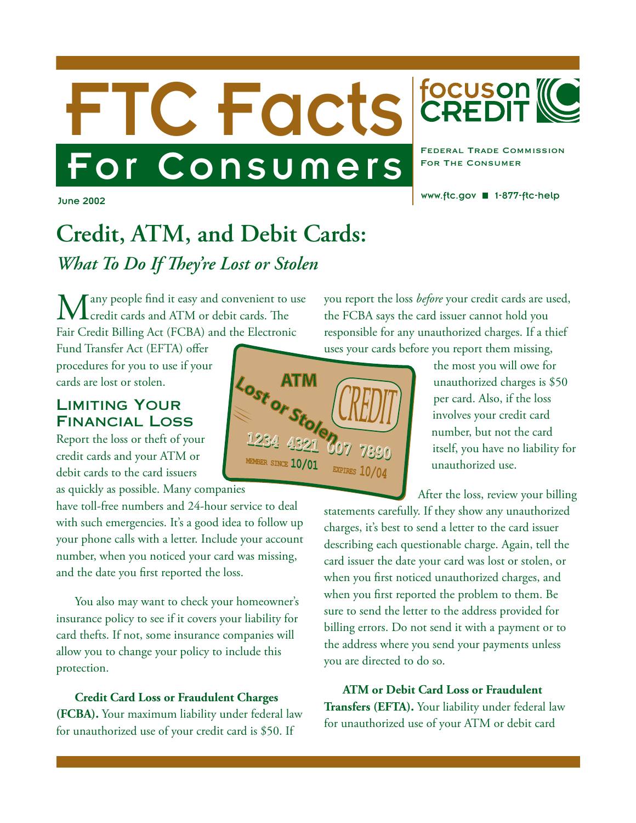# FTC Facts For Consumer For The Consumer



# **Credit, ATM, and Debit Cards:** *What To Do If They're Lost or Stolen*

Tany people find it easy and convenient to use credit cards and ATM or debit cards. The Fair Credit Billing Act (FCBA) and the Electronic

Fund Transfer Act (EFTA) offer procedures for you to use if your cards are lost or stolen.

# Limiting Your Financial Loss

Report the loss or theft of your credit cards and your ATM or debit cards to the card issuers as quickly as possible. Many companies

have toll-free numbers and 24-hour service to deal with such emergencies. It's a good idea to follow up your phone calls with a letter. Include your account number, when you noticed your card was missing, and the date you first reported the loss.

You also may want to check your homeowner's insurance policy to see if it covers your liability for card thefts. If not, some insurance companies will allow you to change your policy to include this protection.

**Credit Card Loss or Fraudulent Charges (FCBA).** Your maximum liability under federal law for unauthorized use of your credit card is \$50. If

you report the loss *before* your credit cards are used, the FCBA says the card issuer cannot hold you responsible for any unauthorized charges. If a thief uses your cards before you report them missing,



the most you will owe for unauthorized charges is \$50 per card. Also, if the loss involves your credit card number, but not the card itself, you have no liability for unauthorized use.

After the loss, review your billing

statements carefully. If they show any unauthorized charges, it's best to send a letter to the card issuer describing each questionable charge. Again, tell the card issuer the date your card was lost or stolen, or when you first noticed unauthorized charges, and when you first reported the problem to them. Be sure to send the letter to the address provided for billing errors. Do not send it with a payment or to the address where you send your payments unless you are directed to do so.

**ATM or Debit Card Loss or Fraudulent Transfers (EFTA).** Your liability under federal law for unauthorized use of your ATM or debit card



For The Consumer

www.ftc.gov ■ 1-877-ftc-help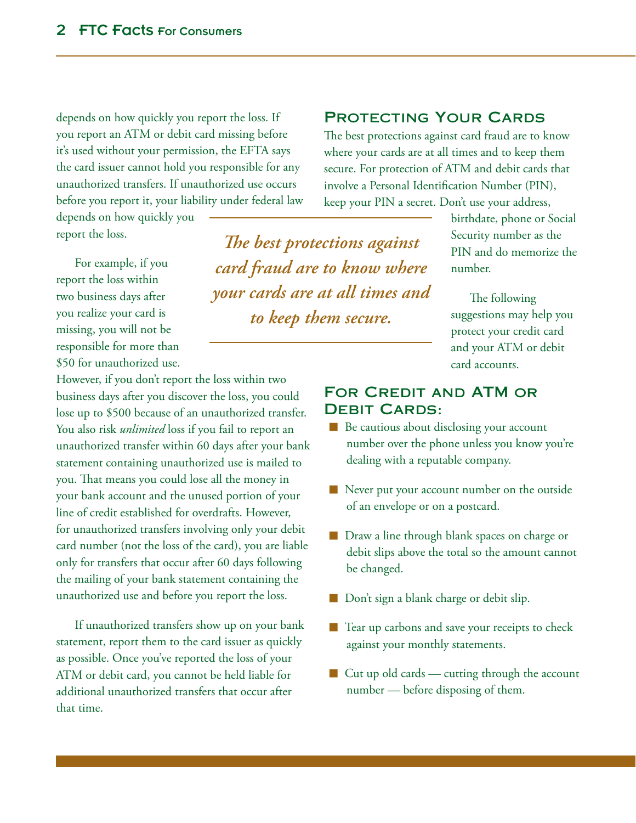depends on how quickly you report the loss. If you report an ATM or debit card missing before it's used without your permission, the EFTA says the card issuer cannot hold you responsible for any unauthorized transfers. If unauthorized use occurs before you report it, your liability under federal law

depends on how quickly you report the loss.

For example, if you report the loss within two business days after you realize your card is missing, you will not be responsible for more than \$50 for unauthorized use.

However, if you don't report the loss within two business days after you discover the loss, you could lose up to \$500 because of an unauthorized transfer. You also risk *unlimited* loss if you fail to report an unauthorized transfer within 60 days after your bank statement containing unauthorized use is mailed to you. That means you could lose all the money in your bank account and the unused portion of your line of credit established for overdrafts. However, for unauthorized transfers involving only your debit card number (not the loss of the card), you are liable only for transfers that occur after 60 days following the mailing of your bank statement containing the unauthorized use and before you report the loss.

If unauthorized transfers show up on your bank statement, report them to the card issuer as quickly as possible. Once you've reported the loss of your ATM or debit card, you cannot be held liable for additional unauthorized transfers that occur after that time.

Protecting Your Cards

The best protections against card fraud are to know where your cards are at all times and to keep them secure. For protection of ATM and debit cards that involve a Personal Identification Number (PIN), keep your PIN a secret. Don't use your address,

*The best protections against card fraud are to know where your cards are at all times and to keep them secure.*

birthdate, phone or Social Security number as the PIN and do memorize the number.

The following suggestions may help you protect your credit card and your ATM or debit card accounts.

# For Credit and ATM or DEBIT CARDS:

- Be cautious about disclosing your account number over the phone unless you know you're dealing with a reputable company.
- Never put your account number on the outside of an envelope or on a postcard.
- Draw a line through blank spaces on charge or debit slips above the total so the amount cannot be changed.
- Don't sign a blank charge or debit slip.
- Tear up carbons and save your receipts to check against your monthly statements.
- Cut up old cards cutting through the account number — before disposing of them.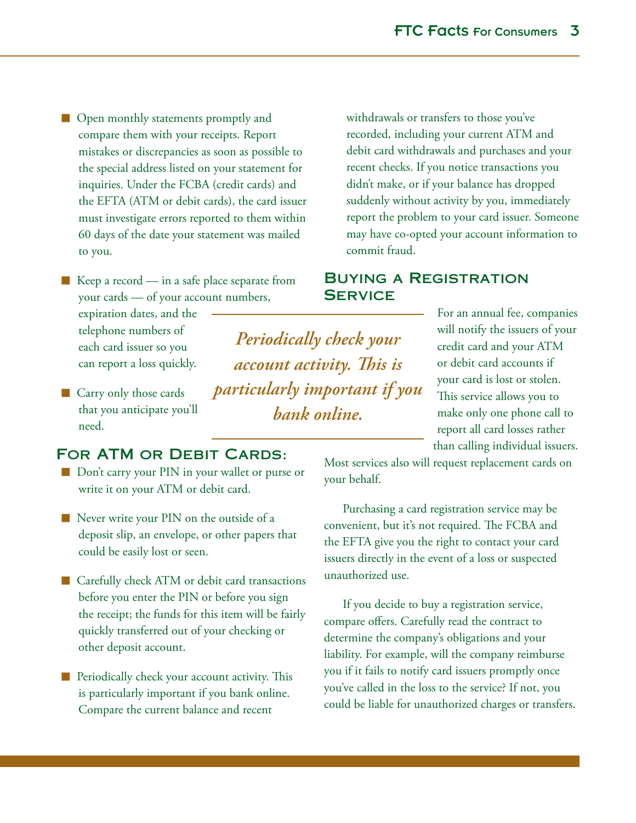- Open monthly statements promptly and compare them with your receipts. Report mistakes or discrepancies as soon as possible to the special address listed on your statement for inquiries. Under the FCBA (credit cards) and the EFTA (ATM or debit cards), the card issuer must investigate errors reported to them within 60 days of the date your statement was mailed to you.
- Keep a record in a safe place separate from your cards — of your account numbers,
	- expiration dates, and the telephone numbers of each card issuer so you can report a loss quickly.
- Carry only those cards that you anticipate you'll need.

## For ATM or Debit Cards:

- Don't carry your PIN in your wallet or purse or write it on your ATM or debit card.
- Never write your PIN on the outside of a deposit slip, an envelope, or other papers that could be easily lost or seen.
- Carefully check ATM or debit card transactions before you enter the PIN or before you sign the receipt; the funds for this item will be fairly quickly transferred out of your checking or other deposit account.
- Periodically check your account activity. This is particularly important if you bank online. Compare the current balance and recent

withdrawals or transfers to those you've recorded, including your current ATM and debit card withdrawals and purchases and your recent checks. If you notice transactions you didn't make, or if your balance has dropped suddenly without activity by you, immediately report the problem to your card issuer. Someone may have co-opted your account information to commit fraud.

#### Buying a Registration **SERVICE**

*Periodically check your* 

*account activity. This is* 

*particularly important if you* 

For an annual fee, companies will notify the issuers of your credit card and your ATM or debit card accounts if your card is lost or stolen. This service allows you to make only one phone call to report all card losses rather than calling individual issuers.

*bank online.*

Most services also will request replacement cards on your behalf.

Purchasing a card registration service may be convenient, but it's not required. The FCBA and the EFTA give you the right to contact your card issuers directly in the event of a loss or suspected unauthorized use.

If you decide to buy a registration service, compare offers. Carefully read the contract to determine the company's obligations and your liability. For example, will the company reimburse you if it fails to notify card issuers promptly once you've called in the loss to the service? If not, you could be liable for unauthorized charges or transfers.